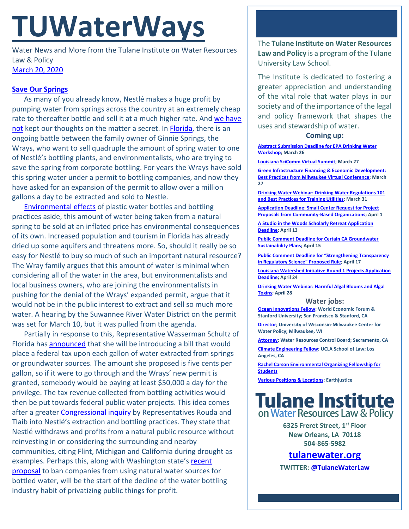# **TUWaterWays**

Water News and More from the Tulane Institute on Water Resources Law & Policy [March 20, 2020](https://thisdayinwaterhistory.wordpress.com/)

## **[Save Our Springs](https://www.youtube.com/watch?v=cvChjHcABPA)**

As many of you already know, Nestlé makes a huge profit by pumping water from springs across the country at an extremely cheap rate to thereafter bottle and sell it at a much higher rate. And we have [not](https://a21005ea-f0f0-4cff-a527-7c658373c740.filesusr.com/ugd/32079b_5c89f8ccf25f45f5b008703cbed1bbc7.pdf) kept our thoughts on the matter a secret. In [Florida,](https://www.nytimes.com/2020/03/08/business/nestle-florida-water.html) there is an ongoing battle between the family owner of Ginnie Springs, the Wrays, who want to sell quadruple the amount of spring water to one of Nestlé's bottling plants, and environmentalists, who are trying to save the spring from corporate bottling. For years the Wrays have sold this spring water under a permit to bottling companies, and now they have asked for an expansion of the permit to allow over a million gallons a day to be extracted and sold to Nestle.

[Environmental effects](https://www.theguardian.com/environment/2017/jun/28/a-million-a-minute-worlds-plastic-bottle-binge-as-dangerous-as-climate-change) of plastic water bottles and bottling practices aside, this amount of water being taken from a natural spring to be sold at an inflated price has environmental consequences of its own. Increased population and tourism in Florida has already dried up some aquifers and threatens more. So, should it really be so easy for Nestlé to buy so much of such an important natural resource? The Wray family argues that this amount of water is minimal when considering all of the water in the area, but environmentalists and local business owners, who are joining the environmentalists in pushing for the denial of the Wrays' expanded permit, argue that it would not be in the public interest to extract and sell so much more water. A hearing by the Suwannee River Water District on the permit was set for March 10, but it was pulled from the agenda.

Partially in response to this, Representative Wasserman Schultz of Florida has [announced](https://www.miamiherald.com/news/politics-government/article241037526.html) that she will be introducing a bill that would place a federal tax upon each gallon of water extracted from springs or groundwater sources. The amount she proposed is five cents per gallon, so if it were to go through and the Wrays' new permit is granted, somebody would be paying at least \$50,000 a day for the privilege. The tax revenue collected from bottling activities would then be put towards federal public water projects. This idea comes after a greater [Congressional inquiry](https://oversight.house.gov/news/press-releases/subcommittee-chairman-rouda-and-vice-chair-tlaib-launch-investigation-into) by Representatives Rouda and Tlaib into Nestlé's extraction and bottling practices. They state that Nestlé withdraws and profits from a natural public resource without reinvesting in or considering the surrounding and nearby communities, citing Flint, Michigan and California during drought as examples. Perhaps this, along with Washington state's recent [proposal](https://www.cnn.com/2020/02/20/us/washington-bottled-water-trnd/index.html) to ban companies from using natural water sources for bottled water, will be the start of the decline of the water bottling industry habit of privatizing public things for profit.

The **Tulane Institute on Water Resources Law and Policy** is a program of the Tulane University Law School.

The Institute is dedicated to fostering a greater appreciation and understanding of the vital role that water plays in our society and of the importance of the legal and policy framework that shapes the uses and stewardship of water.

## **Coming up:**

**[Abstract Submission Deadline for EPA Drinking Water](https://www.epa.gov/water-research/17th-annual-epa-drinking-water-workshop)  [Workshop;](https://www.epa.gov/water-research/17th-annual-epa-drinking-water-workshop) March 26**

**[Louisiana SciComm Virtual Summit;](http://www.laseagrant.org/outreach/ladia/lascicomm/) March 27**

**[Green Infrastructure Financing & Economic Development:](https://everlabnola.org/)  [Best Practices from Milwaukee](https://everlabnola.org/) Virtual Conference; March 27**

**[Drinking Water Webinar: Drinking Water Regulations 101](https://www.epa.gov/water-research/small-systems-monthly-webinar-series)  [and Best Practices for Training Utilities;](https://www.epa.gov/water-research/small-systems-monthly-webinar-series) March 31**

**[Application Deadline: Small Center Request for Project](https://mcusercontent.com/bcd38b3c3075a06d1ff938b97/files/0409ea2a-f9fc-45b8-ad48-b9e7b7ae27d1/RFP2020Application.pdf)  [Proposals from Community-Based Organizations;](https://mcusercontent.com/bcd38b3c3075a06d1ff938b97/files/0409ea2a-f9fc-45b8-ad48-b9e7b7ae27d1/RFP2020Application.pdf) April 1**

**[A Studio in the Woods Scholarly Retreat Application](http://www.astudiointhewoods.org/apply-for-scholarly-retreats/)  [Deadline;](http://www.astudiointhewoods.org/apply-for-scholarly-retreats/) April 13**

**[Public Comment Deadline for Certain CA Groundwater](https://mavensnotebook.com/2020/02/19/new-gsps-posted-public-comment-opens-for-groundwater-sustainability-plans/)  [Sustainability Plans;](https://mavensnotebook.com/2020/02/19/new-gsps-posted-public-comment-opens-for-groundwater-sustainability-plans/) April 15**

**[Public Comment Deadline for "Strengthening Transparency](https://www.regulations.gov/document?D=EPA-HQ-OA-2018-0259-9322)  [in Regulatory Science" Proposed Rule](https://www.regulations.gov/document?D=EPA-HQ-OA-2018-0259-9322); April 17**

**[Louisiana Watershed Initiative Round 1 Projects Application](https://www.watershed.la.gov/calendar/event/1086/)  [Deadline;](https://www.watershed.la.gov/calendar/event/1086/) April 24**

**[Drinking Water Webinar: Harmful Algal Blooms and Algal](https://www.epa.gov/water-research/small-systems-monthly-webinar-series)  [Toxins;](https://www.epa.gov/water-research/small-systems-monthly-webinar-series) April 28**

## **Water jobs:**

**[Ocean Innovations Fellow;](https://oceansolutions.stanford.edu/stories-events/new-position-andr-hoffmann-fellow-ocean-innovations-0) World Economic Forum & Stanford University; San Francisco & Stanford, CA**

**[Director;](https://www.joshswaterjobs.com/jobs/20416) University of Wisconsin-Milwaukee Center for Water Policy; Milwaukee, WI**

**[Attorney;](https://jobs.ca.gov/CalHrPublic/Jobs/JobPosting.aspx?JobControlId=193503) Water Resources Control Board; Sacramento, CA [Climate Engineering Fellow;](https://recruit.apo.ucla.edu/JPF05311) UCLA School of Law; Los Angeles, CA**

**[Rachel Carson Environmental Organizing Fellowship for](https://rachelcarsoncouncil.org/fellowship/)  [Students](https://rachelcarsoncouncil.org/fellowship/)**

**[Various Positions & Locations;](https://earthjustice.org/about/jobs) Earthjustice**



**6325 Freret Street, 1st Floor New Orleans, LA 70118 504-865-5982**

**[tulanewater.org](file:///C:/Users/waterlaw/Downloads/tulanewater.org)**

**TWITTER[: @TulaneWaterLaw](http://www.twitter.com/TulaneWaterLaw)**